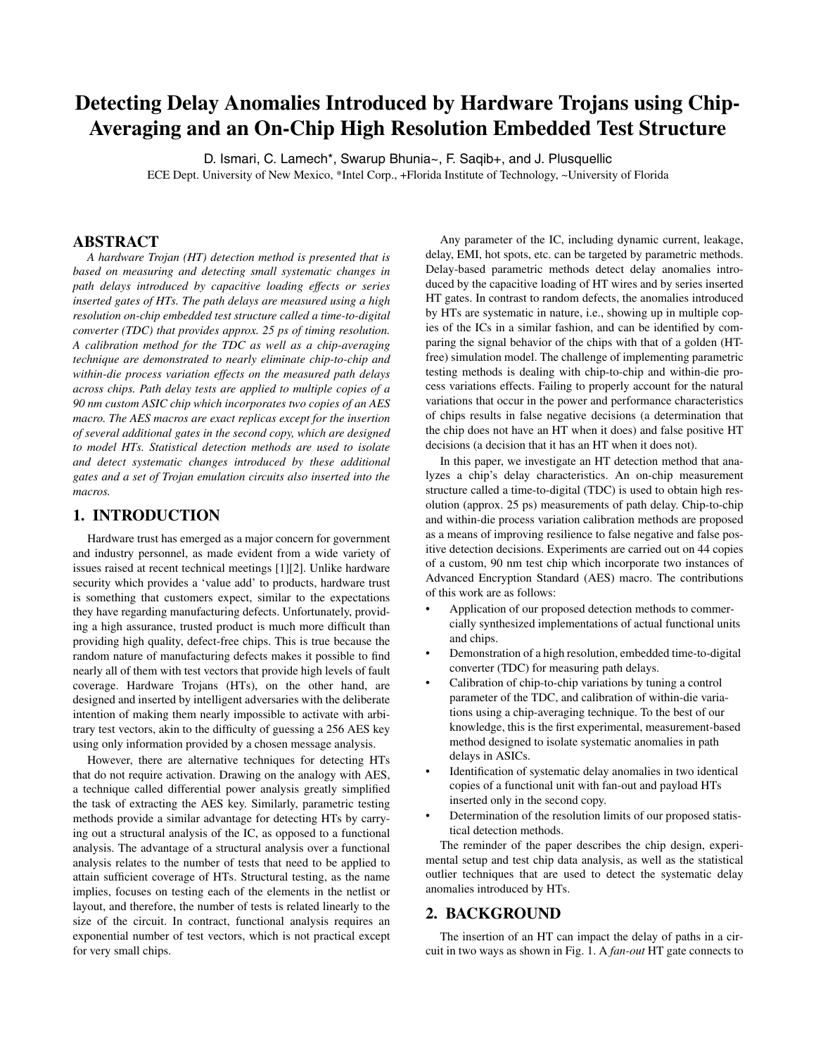# **Detecting Delay Anomalies Introduced by Hardware Trojans using Chip-Averaging and an On-Chip High Resolution Embedded Test Structure**

D. Ismari, C. Lamech\*, Swarup Bhunia~, F. Saqib+, and J. Plusquellic ECE Dept. University of New Mexico, \*Intel Corp., +Florida Institute of Technology, ~University of Florida

## **ABSTRACT**

*A hardware Trojan (HT) detection method is presented that is based on measuring and detecting small systematic changes in path delays introduced by capacitive loading effects or series inserted gates of HTs. The path delays are measured using a high resolution on-chip embedded test structure called a time-to-digital converter (TDC) that provides approx. 25 ps of timing resolution. A calibration method for the TDC as well as a chip-averaging technique are demonstrated to nearly eliminate chip-to-chip and within-die process variation effects on the measured path delays across chips. Path delay tests are applied to multiple copies of a 90 nm custom ASIC chip which incorporates two copies of an AES macro. The AES macros are exact replicas except for the insertion of several additional gates in the second copy, which are designed to model HTs. Statistical detection methods are used to isolate and detect systematic changes introduced by these additional gates and a set of Trojan emulation circuits also inserted into the macros.*

## **1. INTRODUCTION**

Hardware trust has emerged as a major concern for government and industry personnel, as made evident from a wide variety of issues raised at recent technical meetings [1][2]. Unlike hardware security which provides a 'value add' to products, hardware trust is something that customers expect, similar to the expectations they have regarding manufacturing defects. Unfortunately, providing a high assurance, trusted product is much more difficult than providing high quality, defect-free chips. This is true because the random nature of manufacturing defects makes it possible to find nearly all of them with test vectors that provide high levels of fault coverage. Hardware Trojans (HTs), on the other hand, are designed and inserted by intelligent adversaries with the deliberate intention of making them nearly impossible to activate with arbitrary test vectors, akin to the difficulty of guessing a 256 AES key using only information provided by a chosen message analysis.

However, there are alternative techniques for detecting HTs that do not require activation. Drawing on the analogy with AES, a technique called differential power analysis greatly simplified the task of extracting the AES key. Similarly, parametric testing methods provide a similar advantage for detecting HTs by carrying out a structural analysis of the IC, as opposed to a functional analysis. The advantage of a structural analysis over a functional analysis relates to the number of tests that need to be applied to attain sufficient coverage of HTs. Structural testing, as the name implies, focuses on testing each of the elements in the netlist or layout, and therefore, the number of tests is related linearly to the size of the circuit. In contract, functional analysis requires an exponential number of test vectors, which is not practical except for very small chips.

Any parameter of the IC, including dynamic current, leakage, delay, EMI, hot spots, etc. can be targeted by parametric methods. Delay-based parametric methods detect delay anomalies introduced by the capacitive loading of HT wires and by series inserted HT gates. In contrast to random defects, the anomalies introduced by HTs are systematic in nature, i.e., showing up in multiple copies of the ICs in a similar fashion, and can be identified by comparing the signal behavior of the chips with that of a golden (HTfree) simulation model. The challenge of implementing parametric testing methods is dealing with chip-to-chip and within-die process variations effects. Failing to properly account for the natural variations that occur in the power and performance characteristics of chips results in false negative decisions (a determination that the chip does not have an HT when it does) and false positive HT decisions (a decision that it has an HT when it does not).

In this paper, we investigate an HT detection method that analyzes a chip's delay characteristics. An on-chip measurement structure called a time-to-digital (TDC) is used to obtain high resolution (approx. 25 ps) measurements of path delay. Chip-to-chip and within-die process variation calibration methods are proposed as a means of improving resilience to false negative and false positive detection decisions. Experiments are carried out on 44 copies of a custom, 90 nm test chip which incorporate two instances of Advanced Encryption Standard (AES) macro. The contributions of this work are as follows:

- Application of our proposed detection methods to commercially synthesized implementations of actual functional units and chips.
- Demonstration of a high resolution, embedded time-to-digital converter (TDC) for measuring path delays.
- Calibration of chip-to-chip variations by tuning a control parameter of the TDC, and calibration of within-die variations using a chip-averaging technique. To the best of our knowledge, this is the first experimental, measurement-based method designed to isolate systematic anomalies in path delays in ASICs.
- Identification of systematic delay anomalies in two identical copies of a functional unit with fan-out and payload HTs inserted only in the second copy.
- Determination of the resolution limits of our proposed statistical detection methods.

The reminder of the paper describes the chip design, experimental setup and test chip data analysis, as well as the statistical outlier techniques that are used to detect the systematic delay anomalies introduced by HTs.

### **2. BACKGROUND**

The insertion of an HT can impact the delay of paths in a circuit in two ways as shown in Fig. 1. A *fan-out* HT gate connects to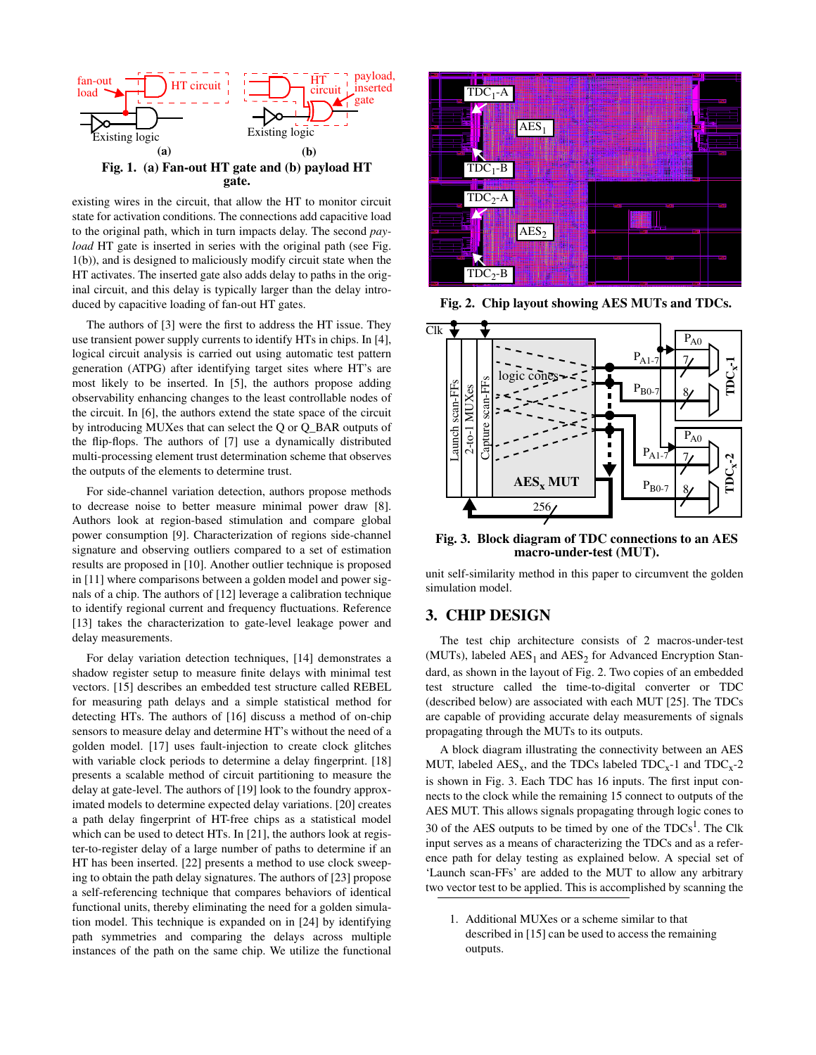

existing wires in the circuit, that allow the HT to monitor circuit state for activation conditions. The connections add capacitive load to the original path, which in turn impacts delay. The second *payload* HT gate is inserted in series with the original path (see Fig. 1(b)), and is designed to maliciously modify circuit state when the HT activates. The inserted gate also adds delay to paths in the original circuit, and this delay is typically larger than the delay introduced by capacitive loading of fan-out HT gates.

The authors of [3] were the first to address the HT issue. They use transient power supply currents to identify HTs in chips. In [4], logical circuit analysis is carried out using automatic test pattern generation (ATPG) after identifying target sites where HT's are most likely to be inserted. In [5], the authors propose adding observability enhancing changes to the least controllable nodes of the circuit. In [6], the authors extend the state space of the circuit by introducing MUXes that can select the Q or Q\_BAR outputs of the flip-flops. The authors of [7] use a dynamically distributed multi-processing element trust determination scheme that observes the outputs of the elements to determine trust.

For side-channel variation detection, authors propose methods to decrease noise to better measure minimal power draw [8]. Authors look at region-based stimulation and compare global power consumption [9]. Characterization of regions side-channel signature and observing outliers compared to a set of estimation results are proposed in [10]. Another outlier technique is proposed in [11] where comparisons between a golden model and power signals of a chip. The authors of [12] leverage a calibration technique to identify regional current and frequency fluctuations. Reference [13] takes the characterization to gate-level leakage power and delay measurements.

For delay variation detection techniques, [14] demonstrates a shadow register setup to measure finite delays with minimal test vectors. [15] describes an embedded test structure called REBEL for measuring path delays and a simple statistical method for detecting HTs. The authors of [16] discuss a method of on-chip sensors to measure delay and determine HT's without the need of a golden model. [17] uses fault-injection to create clock glitches with variable clock periods to determine a delay fingerprint. [18] presents a scalable method of circuit partitioning to measure the delay at gate-level. The authors of [19] look to the foundry approximated models to determine expected delay variations. [20] creates a path delay fingerprint of HT-free chips as a statistical model which can be used to detect HTs. In [21], the authors look at register-to-register delay of a large number of paths to determine if an HT has been inserted. [22] presents a method to use clock sweeping to obtain the path delay signatures. The authors of [23] propose a self-referencing technique that compares behaviors of identical functional units, thereby eliminating the need for a golden simulation model. This technique is expanded on in [24] by identifying path symmetries and comparing the delays across multiple instances of the path on the same chip. We utilize the functional



**Fig. 2. Chip layout showing AES MUTs and TDCs.**



**Fig. 3. Block diagram of TDC connections to an AES macro-under-test (MUT).**

unit self-similarity method in this paper to circumvent the golden simulation model.

## **3. CHIP DESIGN**

The test chip architecture consists of 2 macros-under-test (MUTs), labeled  $\text{AES}_1$  and  $\text{AES}_2$  for Advanced Encryption Standard, as shown in the layout of Fig. 2. Two copies of an embedded test structure called the time-to-digital converter or TDC (described below) are associated with each MUT [25]. The TDCs are capable of providing accurate delay measurements of signals propagating through the MUTs to its outputs.

A block diagram illustrating the connectivity between an AES MUT, labeled  $\text{AES}_x$ , and the TDCs labeled  $\text{TDC}_x$ -1 and  $\text{TDC}_x$ -2 is shown in Fig. 3. Each TDC has 16 inputs. The first input connects to the clock while the remaining 15 connect to outputs of the AES MUT. This allows signals propagating through logic cones to 30 of the AES outputs to be timed by one of the  $TDCs<sup>1</sup>$ . The Clk input serves as a means of characterizing the TDCs and as a reference path for delay testing as explained below. A special set of 'Launch scan-FFs' are added to the MUT to allow any arbitrary two vector test to be applied. This is accomplished by scanning the

1. Additional MUXes or a scheme similar to that described in [15] can be used to access the remaining outputs.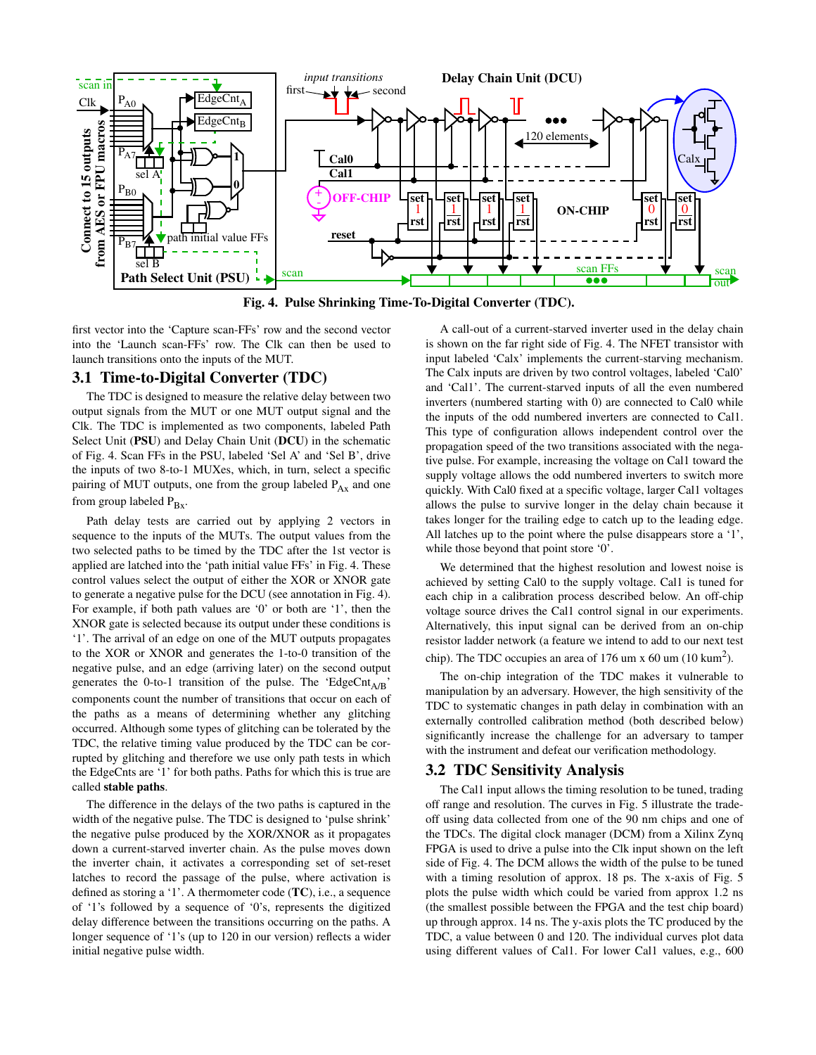

**Fig. 4. Pulse Shrinking Time-To-Digital Converter (TDC).**

first vector into the 'Capture scan-FFs' row and the second vector into the 'Launch scan-FFs' row. The Clk can then be used to launch transitions onto the inputs of the MUT.

# **3.1 Time-to-Digital Converter (TDC)**

The TDC is designed to measure the relative delay between two output signals from the MUT or one MUT output signal and the Clk. The TDC is implemented as two components, labeled Path Select Unit (**PSU**) and Delay Chain Unit (**DCU**) in the schematic of Fig. 4. Scan FFs in the PSU, labeled 'Sel A' and 'Sel B', drive the inputs of two 8-to-1 MUXes, which, in turn, select a specific pairing of MUT outputs, one from the group labeled  $P_{Ax}$  and one from group labeled  $P_{Bx}$ .

Path delay tests are carried out by applying 2 vectors in sequence to the inputs of the MUTs. The output values from the two selected paths to be timed by the TDC after the 1st vector is applied are latched into the 'path initial value FFs' in Fig. 4. These control values select the output of either the XOR or XNOR gate to generate a negative pulse for the DCU (see annotation in Fig. 4). For example, if both path values are '0' or both are '1', then the XNOR gate is selected because its output under these conditions is '1'. The arrival of an edge on one of the MUT outputs propagates to the XOR or XNOR and generates the 1-to-0 transition of the negative pulse, and an edge (arriving later) on the second output generates the 0-to-1 transition of the pulse. The 'EdgeCnt<sub>A/B</sub>' components count the number of transitions that occur on each of the paths as a means of determining whether any glitching occurred. Although some types of glitching can be tolerated by the TDC, the relative timing value produced by the TDC can be corrupted by glitching and therefore we use only path tests in which the EdgeCnts are '1' for both paths. Paths for which this is true are called **stable paths**.

The difference in the delays of the two paths is captured in the width of the negative pulse. The TDC is designed to 'pulse shrink' the negative pulse produced by the XOR/XNOR as it propagates down a current-starved inverter chain. As the pulse moves down the inverter chain, it activates a corresponding set of set-reset latches to record the passage of the pulse, where activation is defined as storing a '1'. A thermometer code (**TC**), i.e., a sequence of '1's followed by a sequence of '0's, represents the digitized delay difference between the transitions occurring on the paths. A longer sequence of '1's (up to 120 in our version) reflects a wider initial negative pulse width.

A call-out of a current-starved inverter used in the delay chain is shown on the far right side of Fig. 4. The NFET transistor with input labeled 'Calx' implements the current-starving mechanism. The Calx inputs are driven by two control voltages, labeled 'Cal0' and 'Cal1'. The current-starved inputs of all the even numbered inverters (numbered starting with 0) are connected to Cal0 while the inputs of the odd numbered inverters are connected to Cal1. This type of configuration allows independent control over the propagation speed of the two transitions associated with the negative pulse. For example, increasing the voltage on Cal1 toward the supply voltage allows the odd numbered inverters to switch more quickly. With Cal0 fixed at a specific voltage, larger Cal1 voltages allows the pulse to survive longer in the delay chain because it takes longer for the trailing edge to catch up to the leading edge. All latches up to the point where the pulse disappears store a '1', while those beyond that point store '0'.

We determined that the highest resolution and lowest noise is achieved by setting Cal0 to the supply voltage. Cal1 is tuned for each chip in a calibration process described below. An off-chip voltage source drives the Cal1 control signal in our experiments. Alternatively, this input signal can be derived from an on-chip resistor ladder network (a feature we intend to add to our next test chip). The TDC occupies an area of 176 um x 60 um (10 kum<sup>2</sup>).

The on-chip integration of the TDC makes it vulnerable to manipulation by an adversary. However, the high sensitivity of the TDC to systematic changes in path delay in combination with an externally controlled calibration method (both described below) significantly increase the challenge for an adversary to tamper with the instrument and defeat our verification methodology.

# **3.2 TDC Sensitivity Analysis**

The Cal1 input allows the timing resolution to be tuned, trading off range and resolution. The curves in Fig. 5 illustrate the tradeoff using data collected from one of the 90 nm chips and one of the TDCs. The digital clock manager (DCM) from a Xilinx Zynq FPGA is used to drive a pulse into the Clk input shown on the left side of Fig. 4. The DCM allows the width of the pulse to be tuned with a timing resolution of approx. 18 ps. The x-axis of Fig. 5 plots the pulse width which could be varied from approx 1.2 ns (the smallest possible between the FPGA and the test chip board) up through approx. 14 ns. The y-axis plots the TC produced by the TDC, a value between 0 and 120. The individual curves plot data using different values of Cal1. For lower Cal1 values, e.g., 600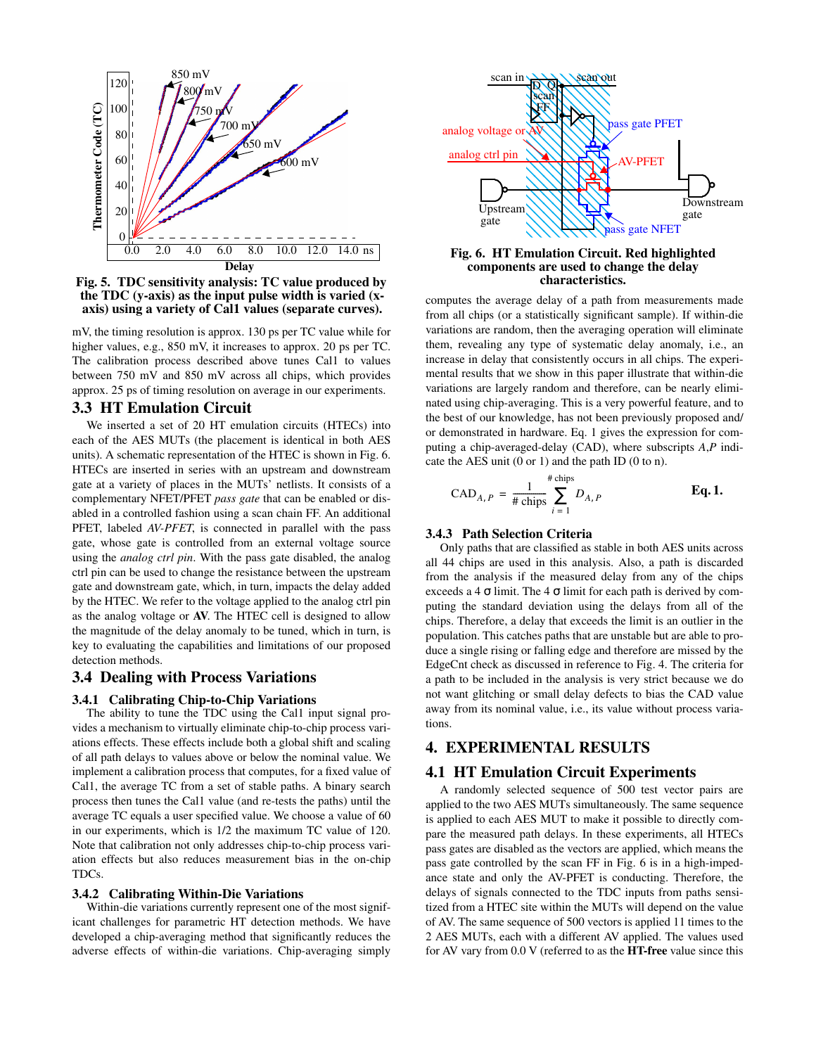

**Fig. 5. TDC sensitivity analysis: TC value produced by the TDC (y-axis) as the input pulse width is varied (xaxis) using a variety of Cal1 values (separate curves).**

mV, the timing resolution is approx. 130 ps per TC value while for higher values, e.g., 850 mV, it increases to approx. 20 ps per TC. The calibration process described above tunes Cal1 to values between 750 mV and 850 mV across all chips, which provides approx. 25 ps of timing resolution on average in our experiments.

## **3.3 HT Emulation Circuit**

We inserted a set of 20 HT emulation circuits (HTECs) into each of the AES MUTs (the placement is identical in both AES units). A schematic representation of the HTEC is shown in Fig. 6. HTECs are inserted in series with an upstream and downstream gate at a variety of places in the MUTs' netlists. It consists of a complementary NFET/PFET *pass gate* that can be enabled or disabled in a controlled fashion using a scan chain FF. An additional PFET, labeled *AV-PFET*, is connected in parallel with the pass gate, whose gate is controlled from an external voltage source using the *analog ctrl pin*. With the pass gate disabled, the analog ctrl pin can be used to change the resistance between the upstream gate and downstream gate, which, in turn, impacts the delay added by the HTEC. We refer to the voltage applied to the analog ctrl pin as the analog voltage or **AV**. The HTEC cell is designed to allow the magnitude of the delay anomaly to be tuned, which in turn, is key to evaluating the capabilities and limitations of our proposed detection methods.

## **3.4 Dealing with Process Variations**

#### **3.4.1 Calibrating Chip-to-Chip Variations**

The ability to tune the TDC using the Cal1 input signal provides a mechanism to virtually eliminate chip-to-chip process variations effects. These effects include both a global shift and scaling of all path delays to values above or below the nominal value. We implement a calibration process that computes, for a fixed value of Cal1, the average TC from a set of stable paths. A binary search process then tunes the Cal1 value (and re-tests the paths) until the average TC equals a user specified value. We choose a value of 60 in our experiments, which is 1/2 the maximum TC value of 120. Note that calibration not only addresses chip-to-chip process variation effects but also reduces measurement bias in the on-chip TDCs.

#### **3.4.2 Calibrating Within-Die Variations**

Within-die variations currently represent one of the most significant challenges for parametric HT detection methods. We have developed a chip-averaging method that significantly reduces the adverse effects of within-die variations. Chip-averaging simply



#### **Fig. 6. HT Emulation Circuit. Red highlighted components are used to change the delay characteristics.**

computes the average delay of a path from measurements made from all chips (or a statistically significant sample). If within-die variations are random, then the averaging operation will eliminate them, revealing any type of systematic delay anomaly, i.e., an increase in delay that consistently occurs in all chips. The experimental results that we show in this paper illustrate that within-die variations are largely random and therefore, can be nearly eliminated using chip-averaging. This is a very powerful feature, and to the best of our knowledge, has not been previously proposed and/ or demonstrated in hardware. Eq. 1 gives the expression for computing a chip-averaged-delay (CAD), where subscripts *A*,*P* indicate the AES unit (0 or 1) and the path ID (0 to n).

$$
CAD_{A, P} = \frac{1}{\# \text{ chips}} \sum_{i=1}^{\# \text{ chips}} D_{A, P}
$$
 Eq. 1.

#### **3.4.3 Path Selection Criteria**

Only paths that are classified as stable in both AES units across all 44 chips are used in this analysis. Also, a path is discarded from the analysis if the measured delay from any of the chips exceeds a 4  $\sigma$  limit. The 4  $\sigma$  limit for each path is derived by computing the standard deviation using the delays from all of the chips. Therefore, a delay that exceeds the limit is an outlier in the population. This catches paths that are unstable but are able to produce a single rising or falling edge and therefore are missed by the EdgeCnt check as discussed in reference to Fig. 4. The criteria for a path to be included in the analysis is very strict because we do not want glitching or small delay defects to bias the CAD value away from its nominal value, i.e., its value without process variations.

# **4. EXPERIMENTAL RESULTS**

## **4.1 HT Emulation Circuit Experiments**

A randomly selected sequence of 500 test vector pairs are applied to the two AES MUTs simultaneously. The same sequence is applied to each AES MUT to make it possible to directly compare the measured path delays. In these experiments, all HTECs pass gates are disabled as the vectors are applied, which means the pass gate controlled by the scan FF in Fig. 6 is in a high-impedance state and only the AV-PFET is conducting. Therefore, the delays of signals connected to the TDC inputs from paths sensitized from a HTEC site within the MUTs will depend on the value of AV. The same sequence of 500 vectors is applied 11 times to the 2 AES MUTs, each with a different AV applied. The values used for AV vary from 0.0 V (referred to as the **HT-free** value since this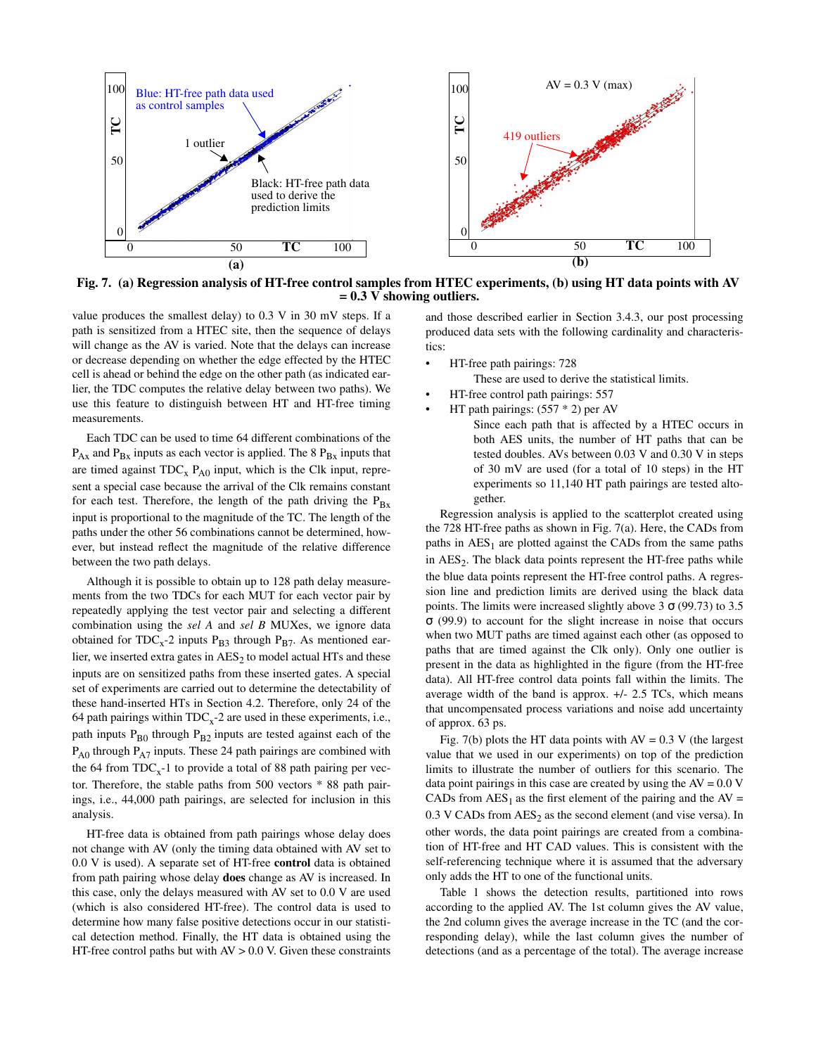

**Fig. 7. (a) Regression analysis of HT-free control samples from HTEC experiments, (b) using HT data points with AV = 0.3 V showing outliers.**

value produces the smallest delay) to 0.3 V in 30 mV steps. If a path is sensitized from a HTEC site, then the sequence of delays will change as the AV is varied. Note that the delays can increase or decrease depending on whether the edge effected by the HTEC cell is ahead or behind the edge on the other path (as indicated earlier, the TDC computes the relative delay between two paths). We use this feature to distinguish between HT and HT-free timing measurements.

Each TDC can be used to time 64 different combinations of the  $P_{Ax}$  and  $P_{Bx}$  inputs as each vector is applied. The 8  $P_{Bx}$  inputs that are timed against  $TDC_x$   $P_{AO}$  input, which is the Clk input, represent a special case because the arrival of the Clk remains constant for each test. Therefore, the length of the path driving the  $P_{Bx}$ input is proportional to the magnitude of the TC. The length of the paths under the other 56 combinations cannot be determined, however, but instead reflect the magnitude of the relative difference between the two path delays.

Although it is possible to obtain up to 128 path delay measurements from the two TDCs for each MUT for each vector pair by repeatedly applying the test vector pair and selecting a different combination using the *sel A* and *sel B* MUXes, we ignore data obtained for  $TDC_x$ -2 inputs  $P_{B3}$  through  $P_{B7}$ . As mentioned earlier, we inserted extra gates in  $\mathrm{AES}_2$  to model actual HTs and these inputs are on sensitized paths from these inserted gates. A special set of experiments are carried out to determine the detectability of these hand-inserted HTs in Section 4.2. Therefore, only 24 of the 64 path pairings within  $TDC<sub>x</sub>$ -2 are used in these experiments, i.e., path inputs  $P_{B0}$  through  $P_{B2}$  inputs are tested against each of the  $P_{A0}$  through  $P_{A7}$  inputs. These 24 path pairings are combined with the 64 from  $TDC_x-1$  to provide a total of 88 path pairing per vector. Therefore, the stable paths from 500 vectors \* 88 path pairings, i.e., 44,000 path pairings, are selected for inclusion in this analysis.

HT-free data is obtained from path pairings whose delay does not change with AV (only the timing data obtained with AV set to 0.0 V is used). A separate set of HT-free **control** data is obtained from path pairing whose delay **does** change as AV is increased. In this case, only the delays measured with AV set to 0.0 V are used (which is also considered HT-free). The control data is used to determine how many false positive detections occur in our statistical detection method. Finally, the HT data is obtained using the HT-free control paths but with  $AV > 0.0$  V. Given these constraints

and those described earlier in Section 3.4.3, our post processing produced data sets with the following cardinality and characteristics:

• HT-free path pairings: 728

These are used to derive the statistical limits.

- HT-free control path pairings: 557
	- HT path pairings: (557 \* 2) per AV Since each path that is affected by a HTEC occurs in both AES units, the number of HT paths that can be tested doubles. AVs between 0.03 V and 0.30 V in steps of 30 mV are used (for a total of 10 steps) in the HT experiments so 11,140 HT path pairings are tested altogether.

Regression analysis is applied to the scatterplot created using the 728 HT-free paths as shown in Fig. 7(a). Here, the CADs from paths in  $\text{AES}_1$  are plotted against the CADs from the same paths in  $\text{AES}_2$ . The black data points represent the HT-free paths while the blue data points represent the HT-free control paths. A regression line and prediction limits are derived using the black data points. The limits were increased slightly above  $3 \sigma (99.73)$  to  $3.5$ σ (99.9) to account for the slight increase in noise that occurs when two MUT paths are timed against each other (as opposed to paths that are timed against the Clk only). Only one outlier is present in the data as highlighted in the figure (from the HT-free data). All HT-free control data points fall within the limits. The average width of the band is approx. +/- 2.5 TCs, which means that uncompensated process variations and noise add uncertainty of approx. 63 ps.

Fig. 7(b) plots the HT data points with  $AV = 0.3$  V (the largest value that we used in our experiments) on top of the prediction limits to illustrate the number of outliers for this scenario. The data point pairings in this case are created by using the  $AV = 0.0 V$ CADs from  $\text{AES}_1$  as the first element of the pairing and the AV =  $0.3$  V CADs from  $AES<sub>2</sub>$  as the second element (and vise versa). In other words, the data point pairings are created from a combination of HT-free and HT CAD values. This is consistent with the self-referencing technique where it is assumed that the adversary only adds the HT to one of the functional units.

Table 1 shows the detection results, partitioned into rows according to the applied AV. The 1st column gives the AV value, the 2nd column gives the average increase in the TC (and the corresponding delay), while the last column gives the number of detections (and as a percentage of the total). The average increase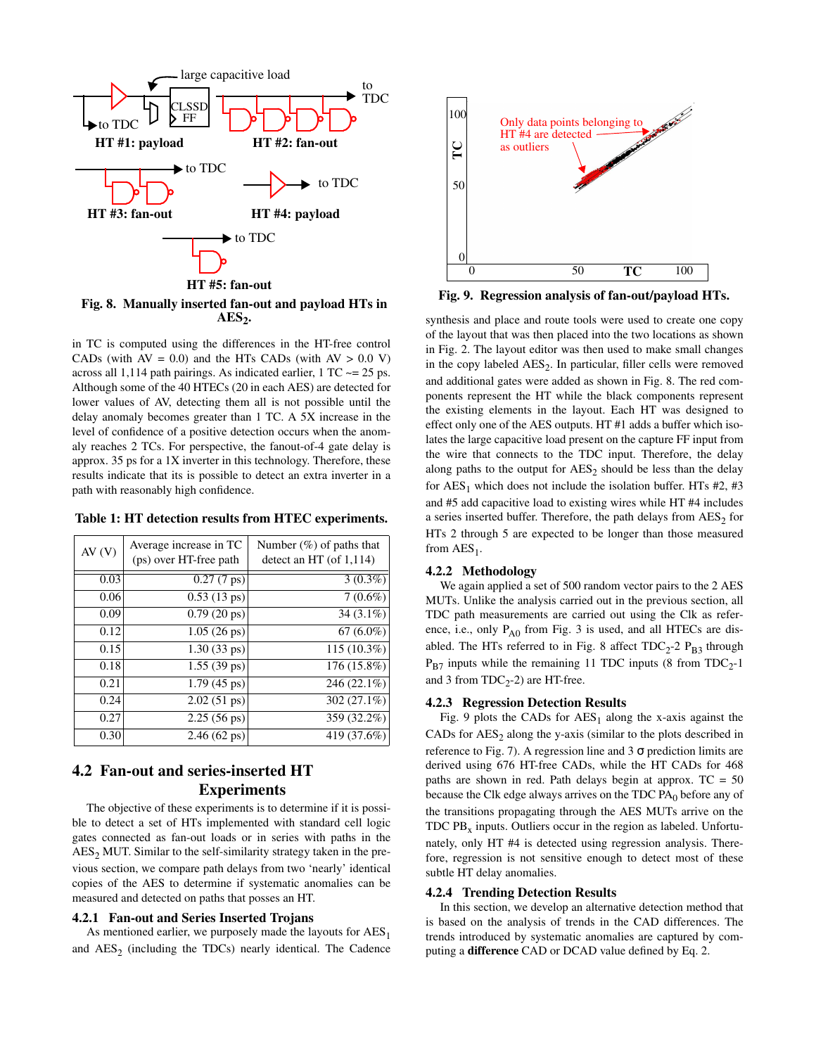

**Fig. 8. Manually inserted fan-out and payload HTs in AES<sup>2</sup> .**

in TC is computed using the differences in the HT-free control CADs (with  $AV = 0.0$ ) and the HTs CADs (with  $AV > 0.0 V$ ) across all 1,114 path pairings. As indicated earlier,  $1 TC \approx = 25$  ps. Although some of the 40 HTECs (20 in each AES) are detected for lower values of AV, detecting them all is not possible until the delay anomaly becomes greater than 1 TC. A 5X increase in the level of confidence of a positive detection occurs when the anomaly reaches 2 TCs. For perspective, the fanout-of-4 gate delay is approx. 35 ps for a 1X inverter in this technology. Therefore, these results indicate that its is possible to detect an extra inverter in a path with reasonably high confidence.

**Table 1: HT detection results from HTEC experiments.**

| AV(V) | Average increase in TC<br>(ps) over HT-free path | Number $(\%)$ of paths that<br>detect an HT (of $1,114$ ) |
|-------|--------------------------------------------------|-----------------------------------------------------------|
| 0.03  | $\overline{0.27}$ (7 ps)                         | $3(0.3\%)$                                                |
| 0.06  | $0.53(13 \text{ ps})$                            | $7(0.6\%)$                                                |
| 0.09  | $0.79(20 \text{ ps})$                            | $34(3.1\%)$                                               |
| 0.12  | $1.05(26 \text{ ps})$                            | $67(6.0\%)$                                               |
| 0.15  | $1.30(33 \text{ ps})$                            | $115(10.3\%)$                                             |
| 0.18  | $1.55(39 \text{ ps})$                            | $176(15.8\%)$                                             |
| 0.21  | $1.79(45 \text{ ps})$                            | 246 (22.1%)                                               |
| 0.24  | $2.02(51 \text{ ps})$                            | $302(27.1\%)$                                             |
| 0.27  | $2.25(56 \text{ ps})$                            | 359 (32.2%)                                               |
| 0.30  | $2.46(62 \text{ ps})$                            | 419 (37.6%)                                               |

# **4.2 Fan-out and series-inserted HT Experiments**

The objective of these experiments is to determine if it is possible to detect a set of HTs implemented with standard cell logic gates connected as fan-out loads or in series with paths in the  $AES<sub>2</sub> MUT.$  Similar to the self-similarity strategy taken in the previous section, we compare path delays from two 'nearly' identical copies of the AES to determine if systematic anomalies can be measured and detected on paths that posses an HT.

#### **4.2.1 Fan-out and Series Inserted Trojans**

As mentioned earlier, we purposely made the layouts for  $\text{AES}_1$ and  $\text{AES}_2$  (including the TDCs) nearly identical. The Cadence



**Fig. 9. Regression analysis of fan-out/payload HTs.**

synthesis and place and route tools were used to create one copy of the layout that was then placed into the two locations as shown in Fig. 2. The layout editor was then used to make small changes in the copy labeled  $\text{AES}_2$ . In particular, filler cells were removed and additional gates were added as shown in Fig. 8. The red components represent the HT while the black components represent the existing elements in the layout. Each HT was designed to effect only one of the AES outputs. HT #1 adds a buffer which isolates the large capacitive load present on the capture FF input from the wire that connects to the TDC input. Therefore, the delay along paths to the output for  $\text{AES}_2$  should be less than the delay for  $AES_1$  which does not include the isolation buffer. HTs  $#2, #3$ and #5 add capacitive load to existing wires while HT #4 includes a series inserted buffer. Therefore, the path delays from  $\mathrm{AES}_2$  for HTs 2 through 5 are expected to be longer than those measured from  $\mathrm{AES}_1$ .

#### **4.2.2 Methodology**

We again applied a set of 500 random vector pairs to the 2 AES MUTs. Unlike the analysis carried out in the previous section, all TDC path measurements are carried out using the Clk as reference, i.e., only  $P_{A0}$  from Fig. 3 is used, and all HTECs are disabled. The HTs referred to in Fig. 8 affect  $TDC_{2}$ -2  $P_{B3}$  through  $P_{B7}$  inputs while the remaining 11 TDC inputs (8 from TDC<sub>2</sub>-1 and 3 from  $TDC_2-2$ ) are HT-free.

#### **4.2.3 Regression Detection Results**

Fig. 9 plots the CADs for  $\text{AES}_1$  along the x-axis against the CADs for  $AES_2$  along the y-axis (similar to the plots described in reference to Fig. 7). A regression line and 3  $\sigma$  prediction limits are derived using 676 HT-free CADs, while the HT CADs for 468 paths are shown in red. Path delays begin at approx.  $TC = 50$ because the Clk edge always arrives on the TDC  $PA_0$  before any of the transitions propagating through the AES MUTs arrive on the TDC  $PB<sub>x</sub>$  inputs. Outliers occur in the region as labeled. Unfortunately, only HT #4 is detected using regression analysis. Therefore, regression is not sensitive enough to detect most of these subtle HT delay anomalies.

#### **4.2.4 Trending Detection Results**

In this section, we develop an alternative detection method that is based on the analysis of trends in the CAD differences. The trends introduced by systematic anomalies are captured by computing a **difference** CAD or DCAD value defined by Eq. 2.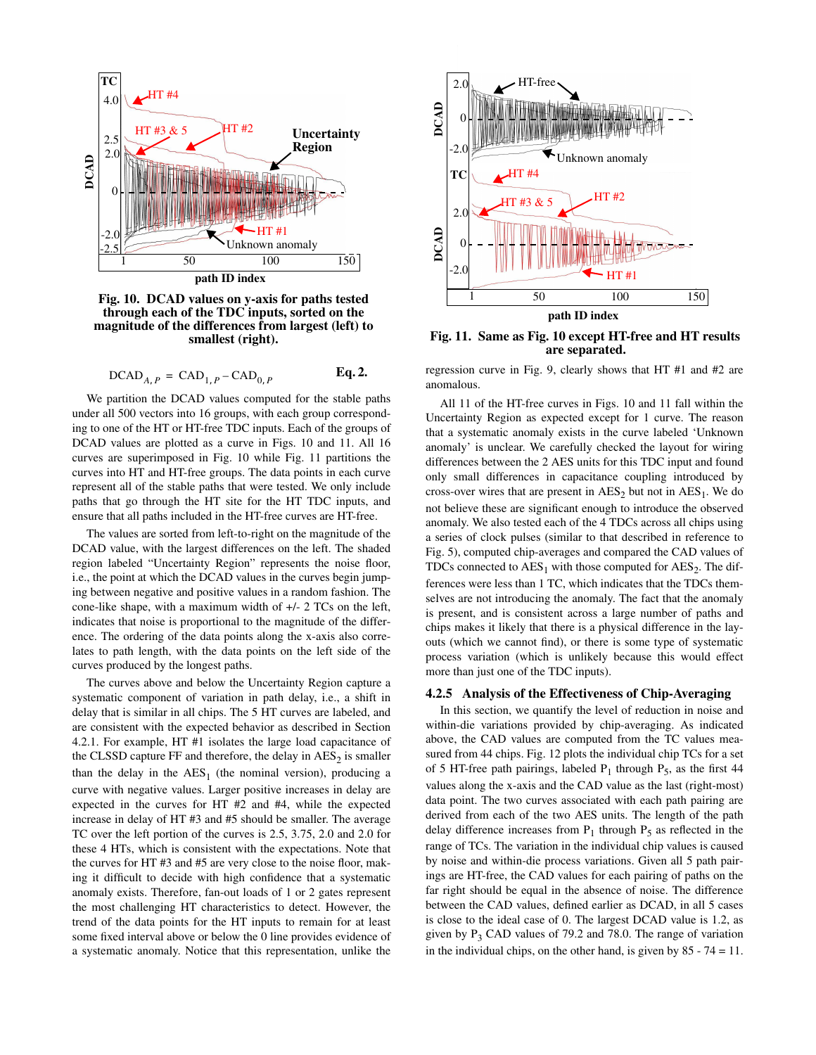

**Fig. 10. DCAD values on y-axis for paths tested through each of the TDC inputs, sorted on the magnitude of the differences from largest (left) to smallest (right).**

DCAD*A P*, CAD1, *<sup>P</sup>* CAD0, *<sup>P</sup>*

We partition the DCAD values computed for the stable paths under all 500 vectors into 16 groups, with each group corresponding to one of the HT or HT-free TDC inputs. Each of the groups of DCAD values are plotted as a curve in Figs. 10 and 11. All 16 curves are superimposed in Fig. 10 while Fig. 11 partitions the curves into HT and HT-free groups. The data points in each curve represent all of the stable paths that were tested. We only include paths that go through the HT site for the HT TDC inputs, and ensure that all paths included in the HT-free curves are HT-free.

The values are sorted from left-to-right on the magnitude of the DCAD value, with the largest differences on the left. The shaded region labeled "Uncertainty Region" represents the noise floor, i.e., the point at which the DCAD values in the curves begin jumping between negative and positive values in a random fashion. The cone-like shape, with a maximum width of +/- 2 TCs on the left, indicates that noise is proportional to the magnitude of the difference. The ordering of the data points along the x-axis also correlates to path length, with the data points on the left side of the curves produced by the longest paths.

The curves above and below the Uncertainty Region capture a systematic component of variation in path delay, i.e., a shift in delay that is similar in all chips. The 5 HT curves are labeled, and are consistent with the expected behavior as described in Section 4.2.1. For example, HT #1 isolates the large load capacitance of the CLSSD capture  $FF$  and therefore, the delay in  $AES_2$  is smaller than the delay in the  $\text{AES}_1$  (the nominal version), producing a curve with negative values. Larger positive increases in delay are expected in the curves for HT #2 and #4, while the expected increase in delay of HT #3 and #5 should be smaller. The average TC over the left portion of the curves is 2.5, 3.75, 2.0 and 2.0 for these 4 HTs, which is consistent with the expectations. Note that the curves for HT #3 and #5 are very close to the noise floor, making it difficult to decide with high confidence that a systematic anomaly exists. Therefore, fan-out loads of 1 or 2 gates represent the most challenging HT characteristics to detect. However, the trend of the data points for the HT inputs to remain for at least some fixed interval above or below the 0 line provides evidence of a systematic anomaly. Notice that this representation, unlike the



**Fig. 11. Same as Fig. 10 except HT-free and HT results are separated.**

 $_{1, P}$  – CAD<sub>0, P</sub> **Eq. 2.** regression curve in Fig. 9, clearly shows that HT #1 and #2 are anomalous.

> All 11 of the HT-free curves in Figs. 10 and 11 fall within the Uncertainty Region as expected except for 1 curve. The reason that a systematic anomaly exists in the curve labeled 'Unknown anomaly' is unclear. We carefully checked the layout for wiring differences between the 2 AES units for this TDC input and found only small differences in capacitance coupling introduced by cross-over wires that are present in  $\text{AES}_2$  but not in  $\text{AES}_1$ . We do not believe these are significant enough to introduce the observed anomaly. We also tested each of the 4 TDCs across all chips using a series of clock pulses (similar to that described in reference to Fig. 5), computed chip-averages and compared the CAD values of TDCs connected to  $\text{AES}_1$  with those computed for  $\text{AES}_2$ . The differences were less than 1 TC, which indicates that the TDCs themselves are not introducing the anomaly. The fact that the anomaly is present, and is consistent across a large number of paths and chips makes it likely that there is a physical difference in the layouts (which we cannot find), or there is some type of systematic process variation (which is unlikely because this would effect more than just one of the TDC inputs).

#### **4.2.5 Analysis of the Effectiveness of Chip-Averaging**

In this section, we quantify the level of reduction in noise and within-die variations provided by chip-averaging. As indicated above, the CAD values are computed from the TC values measured from 44 chips. Fig. 12 plots the individual chip TCs for a set of 5 HT-free path pairings, labeled  $P_1$  through  $P_5$ , as the first 44 values along the x-axis and the CAD value as the last (right-most) data point. The two curves associated with each path pairing are derived from each of the two AES units. The length of the path delay difference increases from  $P_1$  through  $P_5$  as reflected in the range of TCs. The variation in the individual chip values is caused by noise and within-die process variations. Given all 5 path pairings are HT-free, the CAD values for each pairing of paths on the far right should be equal in the absence of noise. The difference between the CAD values, defined earlier as DCAD, in all 5 cases is close to the ideal case of 0. The largest DCAD value is 1.2, as given by  $P_3$  CAD values of 79.2 and 78.0. The range of variation in the individual chips, on the other hand, is given by  $85 - 74 = 11$ .